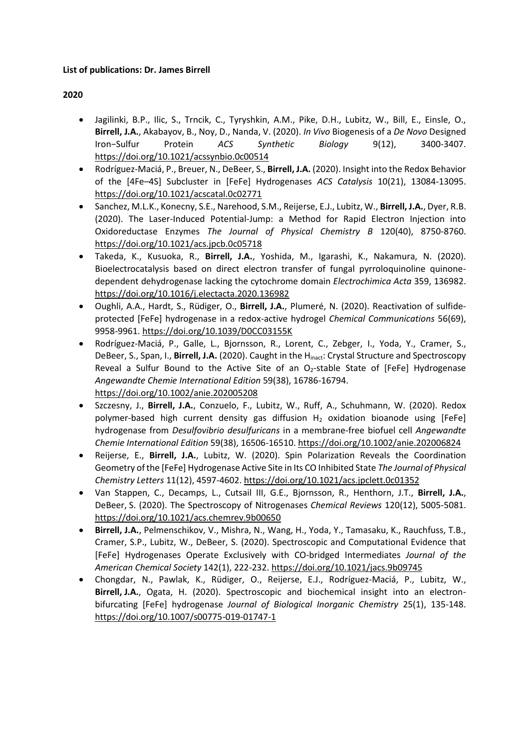### **List of publications: Dr. James Birrell**

# **2020**

- Jagilinki, B.P., Ilic, S., Trncik, C., Tyryshkin, A.M., Pike, D.H., Lubitz, W., Bill, E., Einsle, O., **Birrell, J.A.**, Akabayov, B., Noy, D., Nanda, V. (2020). *In Vivo* Biogenesis of a *De Novo* Designed Iron−Sulfur Protein *ACS Synthetic Biology* 9(12), 3400-3407. <https://doi.org/10.1021/acssynbio.0c00514>
- Rodríguez-Maciá, P., Breuer, N., DeBeer, S., **Birrell, J.A.** (2020). Insight into the Redox Behavior of the [4Fe–4S] Subcluster in [FeFe] Hydrogenases *ACS Catalysis* 10(21), 13084-13095. <https://doi.org/10.1021/acscatal.0c02771>
- Sanchez, M.L.K., Konecny, S.E., Narehood, S.M., Reijerse, E.J., Lubitz, W., **Birrell, J.A.**, Dyer, R.B. (2020). The Laser-Induced Potential-Jump: a Method for Rapid Electron Injection into Oxidoreductase Enzymes *The Journal of Physical Chemistry B* 120(40), 8750-8760. <https://doi.org/10.1021/acs.jpcb.0c05718>
- Takeda, K., Kusuoka, R., **Birrell, J.A.**, Yoshida, M., Igarashi, K., Nakamura, N. (2020). Bioelectrocatalysis based on direct electron transfer of fungal pyrroloquinoline quinonedependent dehydrogenase lacking the cytochrome domain *Electrochimica Acta* 359, 136982. <https://doi.org/10.1016/j.electacta.2020.136982>
- Oughli, A.A., Hardt, S., Rüdiger, O., **Birrell, J.A.**, Plumeré, N. (2020). Reactivation of sulfideprotected [FeFe] hydrogenase in a redox-active hydrogel *Chemical Communications* 56(69), 9958-9961.<https://doi.org/10.1039/D0CC03155K>
- Rodríguez-Maciá, P., Galle, L., Bjornsson, R., Lorent, C., Zebger, I., Yoda, Y., Cramer, S., DeBeer, S., Span, I., **Birrell, J.A.** (2020). Caught in the Hinact: Crystal Structure and Spectroscopy Reveal a Sulfur Bound to the Active Site of an  $O<sub>2</sub>$ -stable State of [FeFe] Hydrogenase *Angewandte Chemie International Edition* 59(38), 16786-16794. <https://doi.org/10.1002/anie.202005208>
- Szczesny, J., **Birrell, J.A.**, Conzuelo, F., Lubitz, W., Ruff, A., Schuhmann, W. (2020). Redox polymer-based high current density gas diffusion H<sub>2</sub> oxidation bioanode using [FeFe] hydrogenase from *Desulfovibrio desulfuricans* in a membrane‐free biofuel cell *Angewandte Chemie International Edition* 59(38), 16506-16510. <https://doi.org/10.1002/anie.202006824>
- Reijerse, E., **Birrell, J.A.**, Lubitz, W. (2020). Spin Polarization Reveals the Coordination Geometry of the [FeFe] Hydrogenase Active Site in Its CO Inhibited State *The Journal of Physical Chemistry Letters* 11(12), 4597-4602.<https://doi.org/10.1021/acs.jpclett.0c01352>
- Van Stappen, C., Decamps, L., Cutsail III, G.E., Bjornsson, R., Henthorn, J.T., **Birrell, J.A.**, DeBeer, S. (2020). The Spectroscopy of Nitrogenases *Chemical Reviews* 120(12), 5005-5081. <https://doi.org/10.1021/acs.chemrev.9b00650>
- **Birrell, J.A.**, Pelmenschikov, V., Mishra, N., Wang, H., Yoda, Y., Tamasaku, K., Rauchfuss, T.B., Cramer, S.P., Lubitz, W., DeBeer, S. (2020). Spectroscopic and Computational Evidence that [FeFe] Hydrogenases Operate Exclusively with CO-bridged Intermediates *Journal of the American Chemical Society* 142(1), 222-232.<https://doi.org/10.1021/jacs.9b09745>
- Chongdar, N., Pawlak, K., Rüdiger, O., Reijerse, E.J., Rodríguez-Maciá, P., Lubitz, W., **Birrell, J.A.**, Ogata, H. (2020). Spectroscopic and biochemical insight into an electronbifurcating [FeFe] hydrogenase *Journal of Biological Inorganic Chemistry* 25(1), 135-148. <https://doi.org/10.1007/s00775-019-01747-1>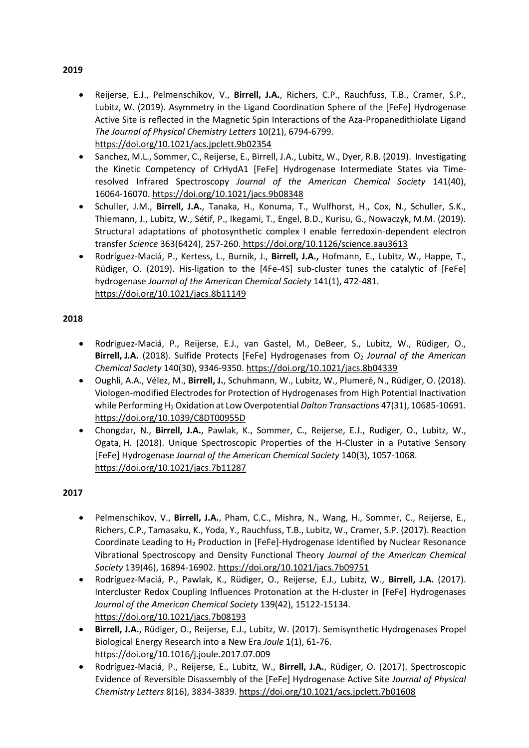- Reijerse, E.J., Pelmenschikov, V., **Birrell, J.A.**, Richers, C.P., Rauchfuss, T.B., Cramer, S.P., Lubitz, W. (2019). Asymmetry in the Ligand Coordination Sphere of the [FeFe] Hydrogenase Active Site is reflected in the Magnetic Spin Interactions of the Aza-Propanedithiolate Ligand *The Journal of Physical Chemistry Letters* 10(21), 6794-6799. <https://doi.org/10.1021/acs.jpclett.9b02354>
- Sanchez, M.L., Sommer, C., Reijerse, E., Birrell, J.A., Lubitz, W., Dyer, R.B. (2019). Investigating the Kinetic Competency of CrHydA1 [FeFe] Hydrogenase Intermediate States via Timeresolved Infrared Spectroscopy *Journal of the American Chemical Society* 141(40), 16064-16070.<https://doi.org/10.1021/jacs.9b08348>
- Schuller, J.M., **Birrell, J.A.**, Tanaka, H., Konuma, T., Wulfhorst, H., Cox, N., Schuller, S.K., Thiemann, J., Lubitz, W., Sétif, P., Ikegami, T., Engel, B.D., Kurisu, G., Nowaczyk, M.M. (2019). Structural adaptations of photosynthetic complex I enable ferredoxin-dependent electron transfer *Science* 363(6424), 257-260. <https://doi.org/10.1126/science.aau3613>
- Rodríguez-Maciá, P., Kertess, L., Burnik, J., **Birrell, J.A.,** Hofmann, E., Lubitz, W., Happe, T., Rüdiger, O. (2019). His-ligation to the [4Fe-4S] sub-cluster tunes the catalytic of [FeFe] hydrogenase *Journal of the American Chemical Society* 141(1), 472-481. https://doi.org/10.1021/jacs.8b11149

# **2018**

- Rodriguez-Maciá, P., Reijerse, E.J., van Gastel, M., DeBeer, S., Lubitz, W., Rüdiger, O., **Birrell, J.A.** (2018). Sulfide Protects [FeFe] Hydrogenases from O<sub>2</sub> Journal of the American *Chemical Society* 140(30), 9346-9350.<https://doi.org/10.1021/jacs.8b04339>
- Oughli, A.A., Vélez, M., **Birrell, J.**, Schuhmann, W., Lubitz, W., Plumeré, N., Rüdiger, O. (2018). Viologen-modified Electrodes for Protection of Hydrogenases from High Potential Inactivation while Performing H<sup>2</sup> Oxidation at Low Overpotential *Dalton Transactions* 47(31), 10685-10691. <https://doi.org/10.1039/C8DT00955D>
- Chongdar, N., **Birrell, J.A.**, Pawlak, K., Sommer, C., Reijerse, E.J., Rudiger, O., Lubitz, W., Ogata, H. (2018). Unique Spectroscopic Properties of the H-Cluster in a Putative Sensory [FeFe] Hydrogenase *Journal of the American Chemical Society* 140(3), 1057-1068. <https://doi.org/10.1021/jacs.7b11287>

# **2017**

- Pelmenschikov, V., **Birrell, J.A.**, Pham, C.C., Mishra, N., Wang, H., Sommer, C., Reijerse, E., Richers, C.P., Tamasaku, K., Yoda, Y., Rauchfuss, T.B., Lubitz, W., Cramer, S.P. (2017). Reaction Coordinate Leading to H<sup>2</sup> Production in [FeFe]-Hydrogenase Identified by Nuclear Resonance Vibrational Spectroscopy and Density Functional Theory *Journal of the American Chemical Society* 139(46), 16894-16902.<https://doi.org/10.1021/jacs.7b09751>
- Rodríguez-Maciá, P., Pawlak, K., Rüdiger, O., Reijerse, E.J., Lubitz, W., **Birrell, J.A.** (2017). Intercluster Redox Coupling Influences Protonation at the H-cluster in [FeFe] Hydrogenases *Journal of the American Chemical Society* 139(42), 15122-15134. <https://doi.org/10.1021/jacs.7b08193>
- **Birrell, J.A.**, Rüdiger, O., Reijerse, E.J., Lubitz, W. (2017). Semisynthetic Hydrogenases Propel Biological Energy Research into a New Era *Joule* 1(1), 61-76. <https://doi.org/10.1016/j.joule.2017.07.009>
- Rodríguez-Maciá, P., Reijerse, E., Lubitz, W., **Birrell, J.A.**, Rüdiger, O. (2017). Spectroscopic Evidence of Reversible Disassembly of the [FeFe] Hydrogenase Active Site *Journal of Physical Chemistry Letters* 8(16), 3834-3839.<https://doi.org/10.1021/acs.jpclett.7b01608>

### **2019**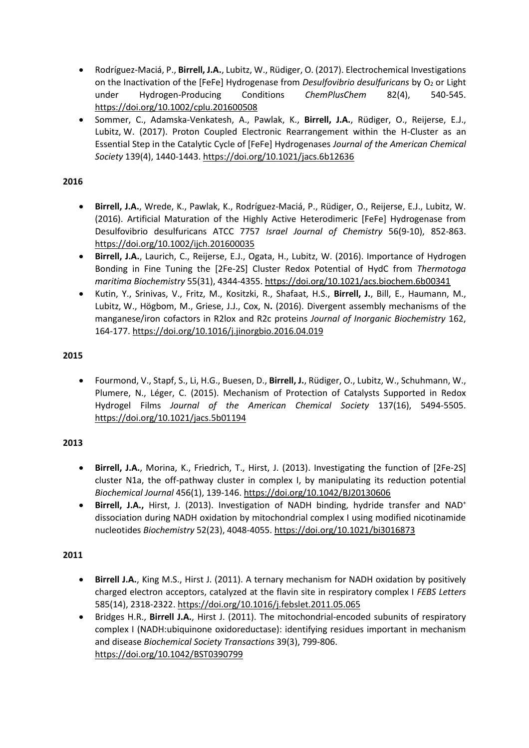- Rodríguez-Maciá, P., **Birrell, J.A.**, Lubitz, W., Rüdiger, O. (2017). Electrochemical Investigations on the Inactivation of the [FeFe] Hydrogenase from *Desulfovibrio desulfuricans* by O<sub>2</sub> or Light under Hydrogen-Producing Conditions *ChemPlusChem* 82(4), 540-545. <https://doi.org/10.1002/cplu.201600508>
- Sommer, C., Adamska-Venkatesh, A., Pawlak, K., **Birrell, J.A.**, Rüdiger, O., Reijerse, E.J., Lubitz, W. (2017). Proton Coupled Electronic Rearrangement within the H-Cluster as an Essential Step in the Catalytic Cycle of [FeFe] Hydrogenases *Journal of the American Chemical Society* 139(4), 1440-1443[. https://doi.org/10.1021/jacs.6b12636](https://doi.org/10.1021/jacs.6b12636)

### **2016**

- **Birrell, J.A.**, Wrede, K., Pawlak, K., Rodríguez-Maciá, P., Rüdiger, O., Reijerse, E.J., Lubitz, W. (2016). Artificial Maturation of the Highly Active Heterodimeric [FeFe] Hydrogenase from Desulfovibrio desulfuricans ATCC 7757 *Israel Journal of Chemistry* 56(9-10), 852-863. <https://doi.org/10.1002/ijch.201600035>
- **Birrell, J.A.**, Laurich, C., Reijerse, E.J., Ogata, H., Lubitz, W. (2016). Importance of Hydrogen Bonding in Fine Tuning the [2Fe-2S] Cluster Redox Potential of HydC from *Thermotoga maritima Biochemistry* 55(31), 4344-4355.<https://doi.org/10.1021/acs.biochem.6b00341>
- Kutin, Y., Srinivas, V., Fritz, M., Kositzki, R., Shafaat, H.S., **Birrell, J.**, Bill, E., Haumann, M., Lubitz, W., Högbom, M., Griese, J.J., Cox, N**.** (2016). Divergent assembly mechanisms of the manganese/iron cofactors in R2lox and R2c proteins *Journal of Inorganic Biochemistry* 162, 164-177.<https://doi.org/10.1016/j.jinorgbio.2016.04.019>

# **2015**

• Fourmond, V., Stapf, S., Li, H.G., Buesen, D., **Birrell, J.**, Rüdiger, O., Lubitz, W., Schuhmann, W., Plumere, N., Léger, C. (2015). Mechanism of Protection of Catalysts Supported in Redox Hydrogel Films *Journal of the American Chemical Society* 137(16), 5494-5505. <https://doi.org/10.1021/jacs.5b01194>

### **2013**

- **Birrell, J.A.**, Morina, K., Friedrich, T., Hirst, J. (2013). Investigating the function of [2Fe-2S] cluster N1a, the off-pathway cluster in complex I, by manipulating its reduction potential *Biochemical Journal* 456(1), 139-146.<https://doi.org/10.1042/BJ20130606>
- **Birrell, J.A.,** Hirst, J. (2013). Investigation of NADH binding, hydride transfer and NAD<sup>+</sup> dissociation during NADH oxidation by mitochondrial complex I using modified nicotinamide nucleotides *Biochemistry* 52(23), 4048-4055[. https://doi.org/10.1021/bi3016873](https://doi.org/10.1021/bi3016873)

### **2011**

- **Birrell J.A.**, King M.S., Hirst J. (2011). A ternary mechanism for NADH oxidation by positively charged electron acceptors, catalyzed at the flavin site in respiratory complex I *FEBS Letters*  585(14), 2318-2322.<https://doi.org/10.1016/j.febslet.2011.05.065>
- Bridges H.R., **Birrell J.A.**, Hirst J. (2011). The mitochondrial-encoded subunits of respiratory complex I (NADH:ubiquinone oxidoreductase): identifying residues important in mechanism and disease *Biochemical Society Transactions* 39(3), 799-806. <https://doi.org/10.1042/BST0390799>